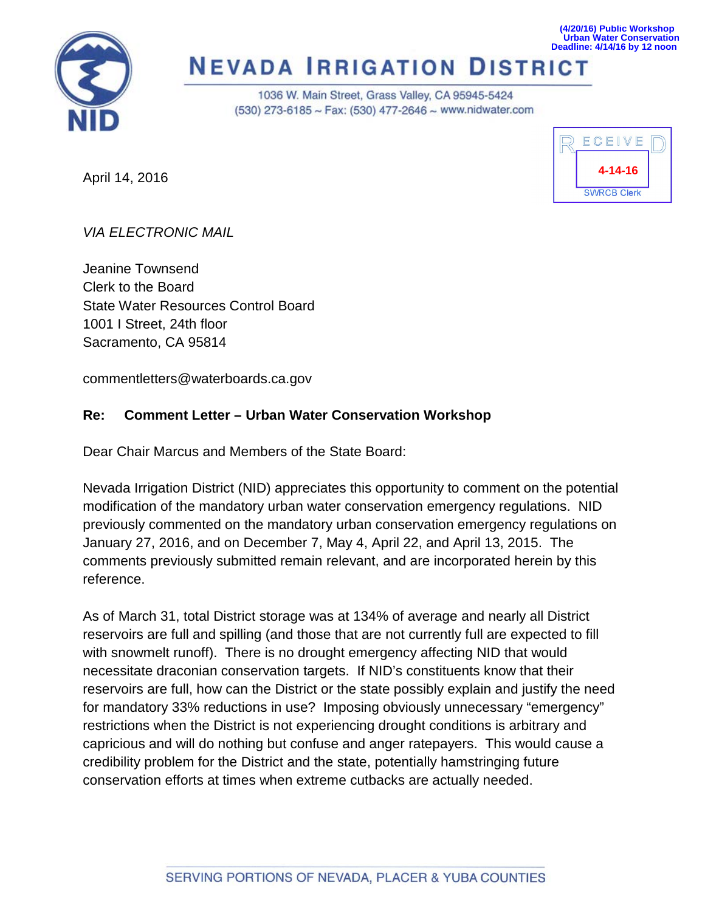

#### **Urban Water Conservation Deadline: 4/14/16 by 12 noon NEVADA IRRIGATION DISTRICT**

1036 W. Main Street, Grass Valley, CA 95945-5424 (530) 273-6185 ~ Fax: (530) 477-2646 ~ www.nidwater.com

April 14, 2016



**(4/20/16) Public Workshop**

*VIA ELECTRONIC MAIL*

Jeanine Townsend Clerk to the Board State Water Resources Control Board 1001 I Street, 24th floor Sacramento, CA 95814

commentletters@waterboards.ca.gov

### **Re: Comment Letter – Urban Water Conservation Workshop**

Dear Chair Marcus and Members of the State Board:

Nevada Irrigation District (NID) appreciates this opportunity to comment on the potential modification of the mandatory urban water conservation emergency regulations. NID previously commented on the mandatory urban conservation emergency regulations on January 27, 2016, and on December 7, May 4, April 22, and April 13, 2015. The comments previously submitted remain relevant, and are incorporated herein by this reference.

As of March 31, total District storage was at 134% of average and nearly all District reservoirs are full and spilling (and those that are not currently full are expected to fill with snowmelt runoff). There is no drought emergency affecting NID that would necessitate draconian conservation targets. If NID's constituents know that their reservoirs are full, how can the District or the state possibly explain and justify the need for mandatory 33% reductions in use? Imposing obviously unnecessary "emergency" restrictions when the District is not experiencing drought conditions is arbitrary and capricious and will do nothing but confuse and anger ratepayers. This would cause a credibility problem for the District and the state, potentially hamstringing future conservation efforts at times when extreme cutbacks are actually needed.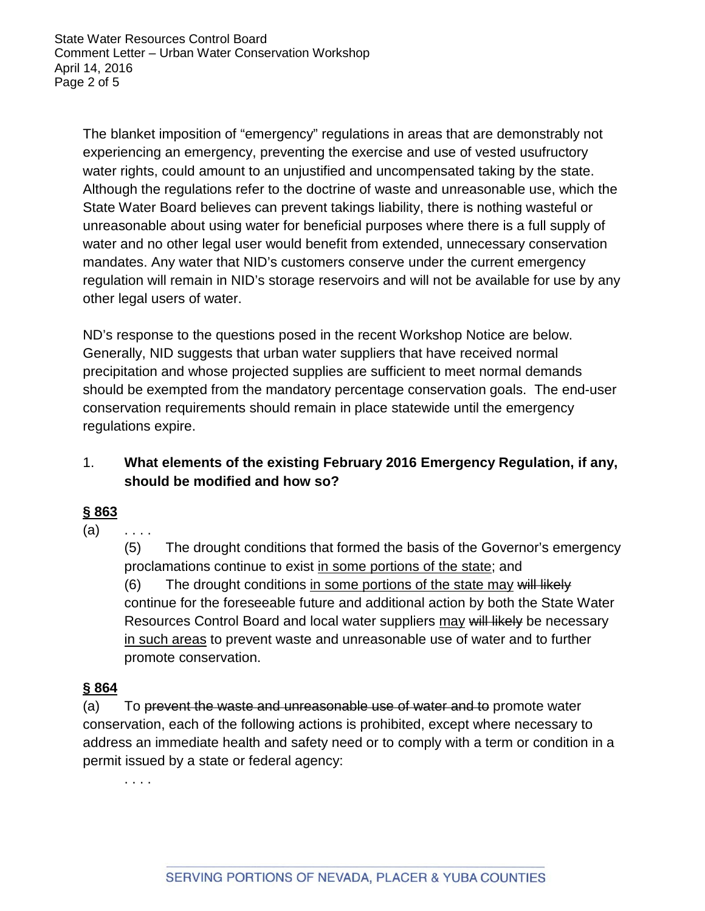State Water Resources Control Board Comment Letter – Urban Water Conservation Workshop April 14, 2016 Page 2 of 5

The blanket imposition of "emergency" regulations in areas that are demonstrably not experiencing an emergency, preventing the exercise and use of vested usufructory water rights, could amount to an unjustified and uncompensated taking by the state. Although the regulations refer to the doctrine of waste and unreasonable use, which the State Water Board believes can prevent takings liability, there is nothing wasteful or unreasonable about using water for beneficial purposes where there is a full supply of water and no other legal user would benefit from extended, unnecessary conservation mandates. Any water that NID's customers conserve under the current emergency regulation will remain in NID's storage reservoirs and will not be available for use by any other legal users of water.

ND's response to the questions posed in the recent Workshop Notice are below. Generally, NID suggests that urban water suppliers that have received normal precipitation and whose projected supplies are sufficient to meet normal demands should be exempted from the mandatory percentage conservation goals. The end-user conservation requirements should remain in place statewide until the emergency regulations expire.

## 1. **What elements of the existing February 2016 Emergency Regulation, if any, should be modified and how so?**

### **§ 863**

 $(a)$  ....

(5) The drought conditions that formed the basis of the Governor's emergency proclamations continue to exist in some portions of the state; and  $(6)$  The drought conditions in some portions of the state may will likely continue for the foreseeable future and additional action by both the State Water Resources Control Board and local water suppliers may will likely be necessary in such areas to prevent waste and unreasonable use of water and to further promote conservation.

### **§ 864**

(a) To prevent the waste and unreasonable use of water and to promote water conservation, each of the following actions is prohibited, except where necessary to address an immediate health and safety need or to comply with a term or condition in a permit issued by a state or federal agency:

. . . .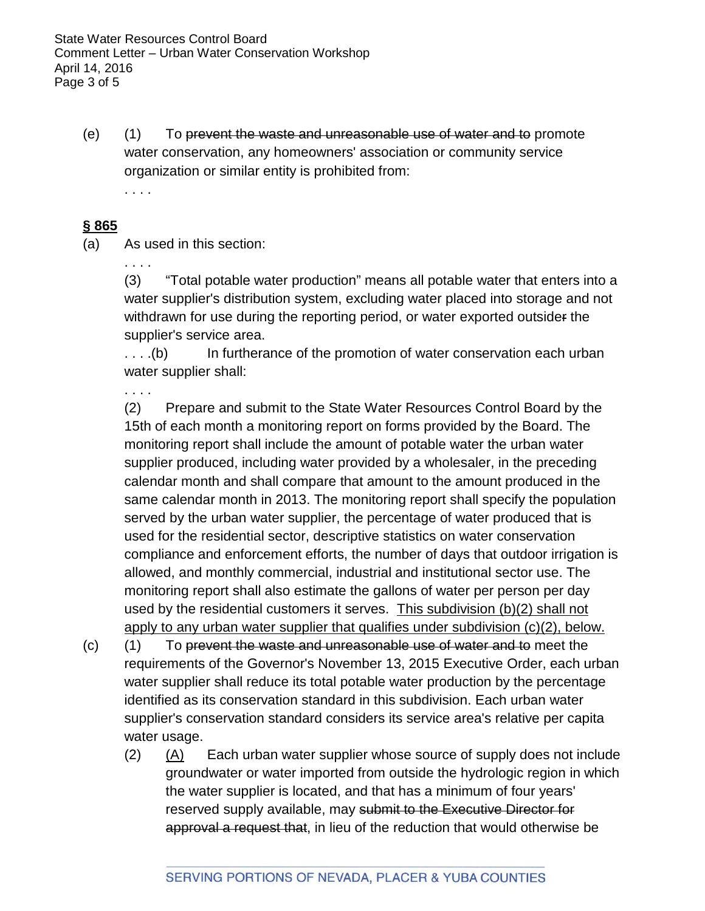(e) (1) To prevent the waste and unreasonable use of water and to promote water conservation, any homeowners' association or community service organization or similar entity is prohibited from: . . . .

#### **§ 865**

(a) As used in this section:

. . . .

(3) "Total potable water production" means all potable water that enters into a water supplier's distribution system, excluding water placed into storage and not withdrawn for use during the reporting period, or water exported outsider the supplier's service area.

....(b) In furtherance of the promotion of water conservation each urban water supplier shall:

. . . .

(2) Prepare and submit to the State Water Resources Control Board by the 15th of each month a monitoring report on forms provided by the Board. The monitoring report shall include the amount of potable water the urban water supplier produced, including water provided by a wholesaler, in the preceding calendar month and shall compare that amount to the amount produced in the same calendar month in 2013. The monitoring report shall specify the population served by the urban water supplier, the percentage of water produced that is used for the residential sector, descriptive statistics on water conservation compliance and enforcement efforts, the number of days that outdoor irrigation is allowed, and monthly commercial, industrial and institutional sector use. The monitoring report shall also estimate the gallons of water per person per day used by the residential customers it serves. This subdivision (b)(2) shall not apply to any urban water supplier that qualifies under subdivision (c)(2), below.

- (c) (1) To prevent the waste and unreasonable use of water and to meet the requirements of the Governor's November 13, 2015 Executive Order, each urban water supplier shall reduce its total potable water production by the percentage identified as its conservation standard in this subdivision. Each urban water supplier's conservation standard considers its service area's relative per capita water usage.
	- (2) (A) Each urban water supplier whose source of supply does not include groundwater or water imported from outside the hydrologic region in which the water supplier is located, and that has a minimum of four years' reserved supply available, may submit to the Executive Director for approval a request that, in lieu of the reduction that would otherwise be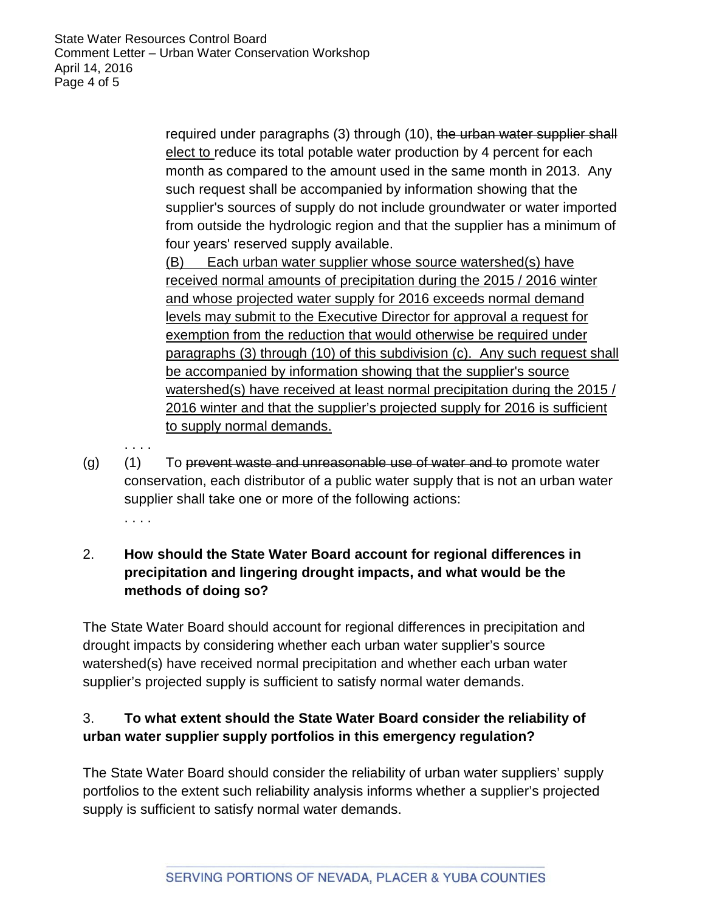. . . .

required under paragraphs (3) through (10), the urban water supplier shall elect to reduce its total potable water production by 4 percent for each month as compared to the amount used in the same month in 2013. Any such request shall be accompanied by information showing that the supplier's sources of supply do not include groundwater or water imported from outside the hydrologic region and that the supplier has a minimum of four years' reserved supply available.

(B) Each urban water supplier whose source watershed(s) have received normal amounts of precipitation during the 2015 / 2016 winter and whose projected water supply for 2016 exceeds normal demand levels may submit to the Executive Director for approval a request for exemption from the reduction that would otherwise be required under paragraphs (3) through (10) of this subdivision (c). Any such request shall be accompanied by information showing that the supplier's source watershed(s) have received at least normal precipitation during the 2015 / 2016 winter and that the supplier's projected supply for 2016 is sufficient to supply normal demands.

 $(q)$  (1) To prevent waste and unreasonable use of water and to promote water conservation, each distributor of a public water supply that is not an urban water supplier shall take one or more of the following actions: . . . .

# 2. **How should the State Water Board account for regional differences in precipitation and lingering drought impacts, and what would be the methods of doing so?**

The State Water Board should account for regional differences in precipitation and drought impacts by considering whether each urban water supplier's source watershed(s) have received normal precipitation and whether each urban water supplier's projected supply is sufficient to satisfy normal water demands.

# 3. **To what extent should the State Water Board consider the reliability of urban water supplier supply portfolios in this emergency regulation?**

The State Water Board should consider the reliability of urban water suppliers' supply portfolios to the extent such reliability analysis informs whether a supplier's projected supply is sufficient to satisfy normal water demands.